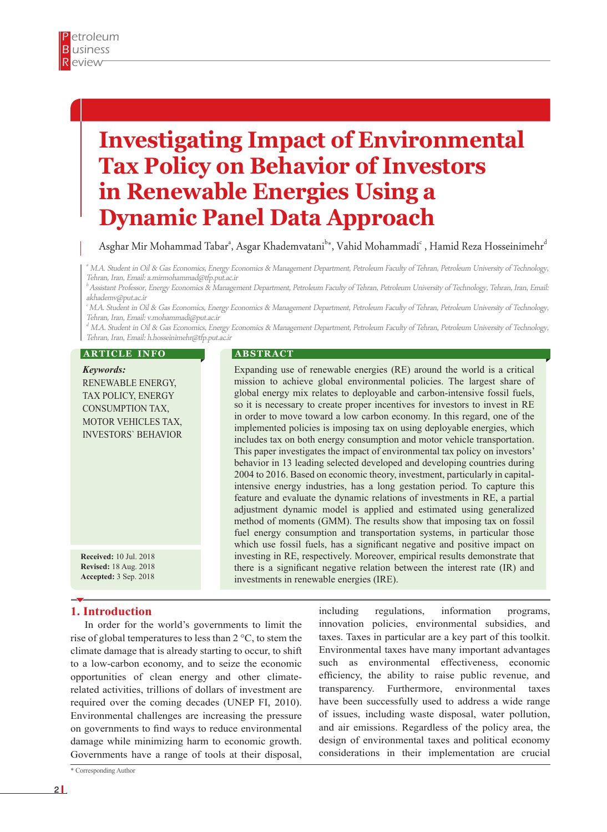# **Investigating Impact of Environmental Tax Policy on Behavior of Investors in Renewable Energies Using a Dynamic Panel Data Approach**

Asghar Mir Mohammad Tabar<sup>a</sup>, Asgar Khademvatani<sup>b</sup>\*, Vahid Mohammadi<sup>c</sup> , Hamid Reza Hosseinimehr<sup>d</sup>

a M.A. Student in Oil & Gas Economics, Energy Economics & Management Department, Petroleum Faculty of Tehran, Petroleum University of Technology, Tehran, Iran, Email: a.mirmohammad@tfp.put.ac.ir

<sup>b</sup>Assistant Professor, Energy Economics & Management Department, Petroleum Faculty of Tehran, Petroleum University of Technology, Tehran, Iran, Email: akhademv@put.ac.ir

c M.A. Student in Oil & Gas Economics, Energy Economics & Management Department, Petroleum Faculty of Tehran, Petroleum University of Technology, Tehran, Iran, Email: v.mohammadi@put.ac.ir

 $\rm ^d$  M.A. Student in Oil & Gas Economics, Energy Economics & Management Department, Petroleum Faculty of Tehran, Petroleum University of Technology, Tehran, Iran, Email: h.hosseinimehr@tfp.put.ac.ir

#### **ARTICLE INFO**

*Keywords:* RENEWABLE ENERGY, TAX POLICY, ENERGY CONSUMPTION TAX, MOTOR VEHICLES TAX, INVESTORS` BEHAVIOR

**Received:** 10 Jul. 2018 **Revised:** 18 Aug. 2018 **Accepted:** 3 Sep. 2018

## **1. Introduction**

In order for the world's governments to limit the rise of global temperatures to less than 2 °C, to stem the climate damage that is already starting to occur, to shift to a low-carbon economy, and to seize the economic opportunities of clean energy and other climaterelated activities, trillions of dollars of investment are required over the coming decades (UNEP FI, 2010). Environmental challenges are increasing the pressure on governments to find ways to reduce environmental damage while minimizing harm to economic growth. Governments have a range of tools at their disposal,

\* Corresponding Author

#### **A B S T R A C T**

Expanding use of renewable energies (RE) around the world is a critical mission to achieve global environmental policies. The largest share of global energy mix relates to deployable and carbon-intensive fossil fuels, so it is necessary to create proper incentives for investors to invest in RE in order to move toward a low carbon economy. In this regard, one of the implemented policies is imposing tax on using deployable energies, which includes tax on both energy consumption and motor vehicle transportation. This paper investigates the impact of environmental tax policy on investors' behavior in 13 leading selected developed and developing countries during 2004 to 2016. Based on economic theory, investment, particularly in capitalintensive energy industries, has a long gestation period. To capture this feature and evaluate the dynamic relations of investments in RE, a partial adjustment dynamic model is applied and estimated using generalized method of moments (GMM). The results show that imposing tax on fossil fuel energy consumption and transportation systems, in particular those which use fossil fuels, has a significant negative and positive impact on investing in RE, respectively. Moreover, empirical results demonstrate that there is a significant negative relation between the interest rate (IR) and investments in renewable energies (IRE).

> including regulations, information programs, innovation policies, environmental subsidies, and taxes. Taxes in particular are a key part of this toolkit. Environmental taxes have many important advantages such as environmental effectiveness, economic efficiency, the ability to raise public revenue, and transparency. Furthermore, environmental taxes have been successfully used to address a wide range of issues, including waste disposal, water pollution, and air emissions. Regardless of the policy area, the design of environmental taxes and political economy considerations in their implementation are crucial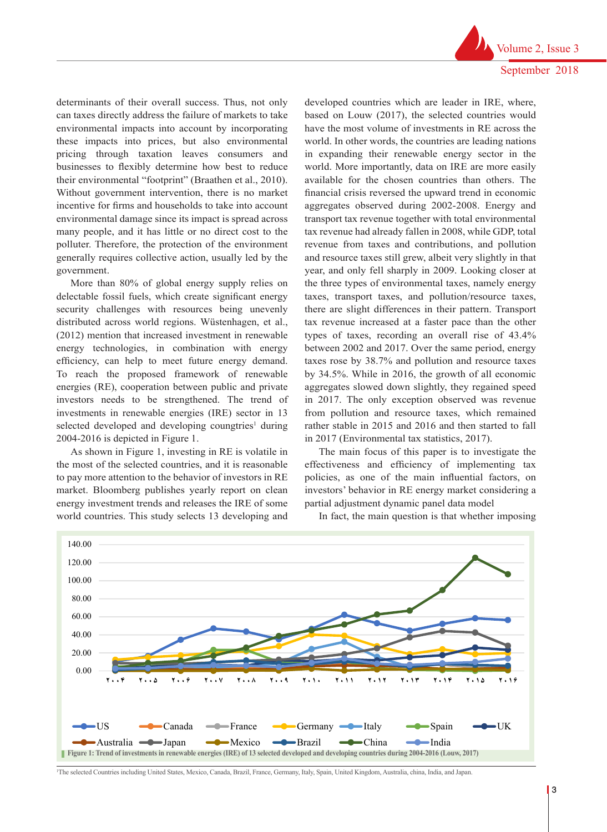September 2018 developed countries which are leader in IRE, where,

Volume 2, Issue 3

determinants of their overall success. Thus, not only can taxes directly address the failure of markets to take environmental impacts into account by incorporating these impacts into prices, but also environmental pricing through taxation leaves consumers and businesses to flexibly determine how best to reduce their environmental "footprint" (Braathen et al., 2010). Without government intervention, there is no market incentive for firms and households to take into account environmental damage since its impact is spread across many people, and it has little or no direct cost to the polluter. Therefore, the protection of the environment generally requires collective action, usually led by the government.

More than 80% of global energy supply relies on delectable fossil fuels, which create significant energy security challenges with resources being unevenly distributed across world regions. Wüstenhagen, et al., (2012) mention that increased investment in renewable energy technologies, in combination with energy efficiency, can help to meet future energy demand. To reach the proposed framework of renewable energies (RE), cooperation between public and private investors needs to be strengthened. The trend of investments in renewable energies (IRE) sector in 13 selected developed and developing coungtries<sup>1</sup> during 2004-2016 is depicted in Figure 1.

As shown in Figure 1, investing in RE is volatile in The main focus of this paper is to investigate the the most of the selected countries, and it is reasonable to pay more attention to the behavior of investors in RE policies, as one of the main influential factors, on market. Bloomberg publishes yearly report on clean investors' behavior in RE energy market considering a energy investment trends and releases the IRE of some partial adjustment dynamic panel data model world countries. This study selects 13 developing and In fact,

based on Louw (2017), the selected countries would have the most volume of investments in RE across the world. In other words, the countries are leading nations in expanding their renewable energy sector in the world. More importantly, data on IRE are more easily available for the chosen countries than others. The financial crisis reversed the upward trend in economic aggregates observed during 2002-2008. Energy and transport tax revenue together with total environmental tax revenue had already fallen in 2008, while GDP, total revenue from taxes and contributions, and pollution and resource taxes still grew, albeit very slightly in that year, and only fell sharply in 2009. Looking closer at the three types of environmental taxes, namely energy taxes, transport taxes, and pollution/resource taxes, there are slight differences in their pattern. Transport tax revenue increased at a faster pace than the other types of taxes, recording an overall rise of 43.4% between 2002 and 2017. Over the same period, energy taxes rose by 38.7% and pollution and resource taxes by 34.5%. While in 2016, the growth of all economic aggregates slowed down slightly, they regained speed in 2017. The only exception observed was revenue from pollution and resource taxes, which remained rather stable in 2015 and 2016 and then started to fall in 2017 (Environmental tax statistics, 2017).

The main focus of this paper is to investigate the effectiveness and efficiency of implementing tax policies, as one of the main influential factors, on investors' behavior in RE energy market considering a partial adjustment dynamic panel data model

In fact, the main question is that whether imposing

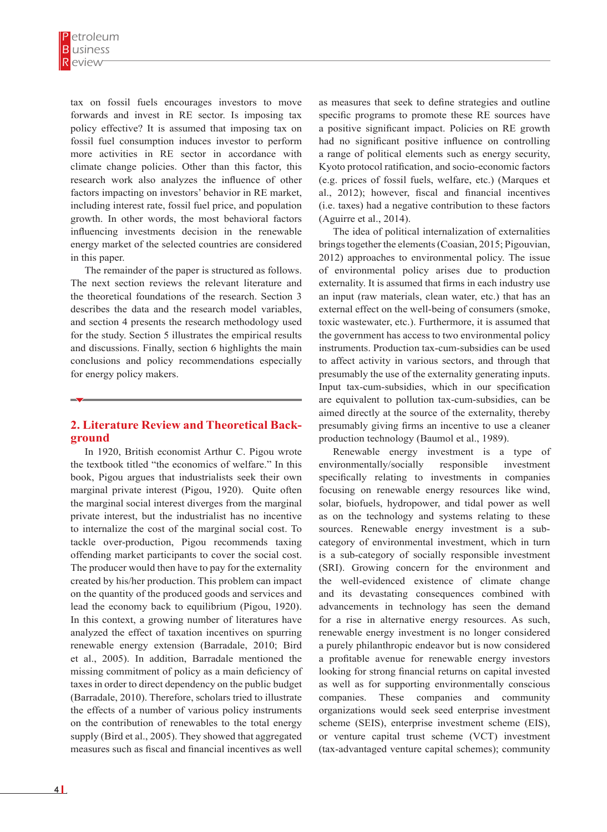tax on fossil fuels encourages investors to move forwards and invest in RE sector. Is imposing tax policy effective? It is assumed that imposing tax on fossil fuel consumption induces investor to perform more activities in RE sector in accordance with climate change policies. Other than this factor, this research work also analyzes the influence of other factors impacting on investors' behavior in RE market, including interest rate, fossil fuel price, and population growth. In other words, the most behavioral factors influencing investments decision in the renewable energy market of the selected countries are considered in this paper.

The remainder of the paper is structured as follows. The next section reviews the relevant literature and the theoretical foundations of the research. Section 3 describes the data and the research model variables, and section 4 presents the research methodology used for the study. Section 5 illustrates the empirical results and discussions. Finally, section 6 highlights the main conclusions and policy recommendations especially for energy policy makers.

# **2. Literature Review and Theoretical Background**

In 1920, British economist Arthur C. Pigou wrote the textbook titled "the economics of welfare." In this book, Pigou argues that industrialists seek their own marginal private interest (Pigou, 1920). Quite often the marginal social interest diverges from the marginal private interest, but the industrialist has no incentive to internalize the cost of the marginal social cost. To tackle over-production, Pigou recommends taxing offending market participants to cover the social cost. The producer would then have to pay for the externality created by his/her production. This problem can impact on the quantity of the produced goods and services and lead the economy back to equilibrium (Pigou, 1920). In this context, a growing number of literatures have analyzed the effect of taxation incentives on spurring renewable energy extension (Barradale, 2010; Bird et al., 2005). In addition, Barradale mentioned the missing commitment of policy as a main deficiency of taxes in order to direct dependency on the public budget (Barradale, 2010). Therefore, scholars tried to illustrate the effects of a number of various policy instruments on the contribution of renewables to the total energy supply (Bird et al., 2005). They showed that aggregated measures such as fiscal and financial incentives as well

as measures that seek to define strategies and outline specific programs to promote these RE sources have a positive significant impact. Policies on RE growth had no significant positive influence on controlling a range of political elements such as energy security, Kyoto protocol ratification, and socio-economic factors (e.g. prices of fossil fuels, welfare, etc.) (Marques et al., 2012); however, fiscal and financial incentives (i.e. taxes) had a negative contribution to these factors (Aguirre et al., 2014).

The idea of political internalization of externalities brings together the elements (Coasian, 2015; Pigouvian, 2012) approaches to environmental policy. The issue of environmental policy arises due to production externality. It is assumed that firms in each industry use an input (raw materials, clean water, etc.) that has an external effect on the well-being of consumers (smoke, toxic wastewater, etc.). Furthermore, it is assumed that the government has access to two environmental policy instruments. Production tax-cum-subsidies can be used to affect activity in various sectors, and through that presumably the use of the externality generating inputs. Input tax-cum-subsidies, which in our specification are equivalent to pollution tax-cum-subsidies, can be aimed directly at the source of the externality, thereby presumably giving firms an incentive to use a cleaner production technology (Baumol et al., 1989).

Renewable energy investment is a type of environmentally/socially responsible investment specifically relating to investments in companies focusing on renewable energy resources like wind, solar, biofuels, hydropower, and tidal power as well as on the technology and systems relating to these sources. Renewable energy investment is a subcategory of environmental investment, which in turn is a sub-category of socially responsible investment (SRI). Growing concern for the environment and the well-evidenced existence of climate change and its devastating consequences combined with advancements in technology has seen the demand for a rise in alternative energy resources. As such, renewable energy investment is no longer considered a purely philanthropic endeavor but is now considered a profitable avenue for renewable energy investors looking for strong financial returns on capital invested as well as for supporting environmentally conscious companies. These companies and community organizations would seek seed enterprise investment scheme (SEIS), enterprise investment scheme (EIS), or venture capital trust scheme (VCT) investment (tax-advantaged venture capital schemes); community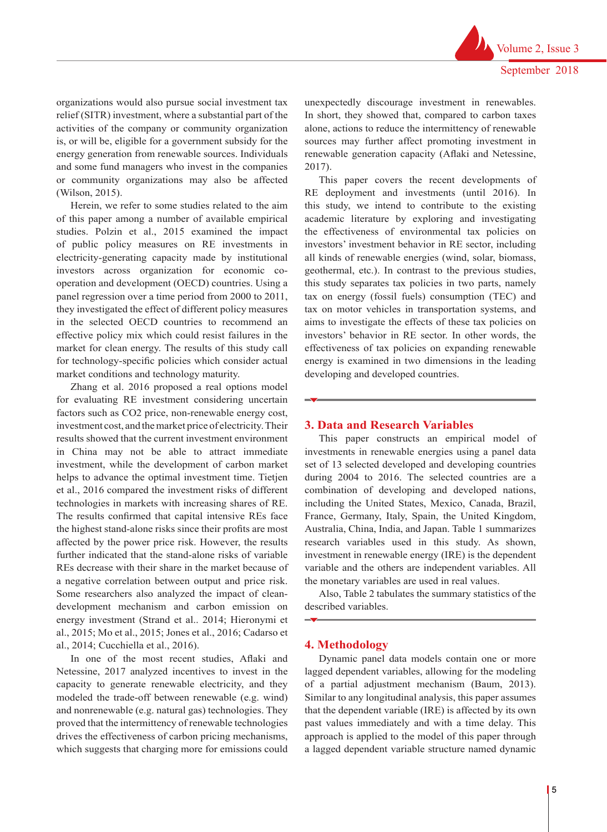organizations would also pursue social investment tax relief (SITR) investment, where a substantial part of the activities of the company or community organization is, or will be, eligible for a government subsidy for the energy generation from renewable sources. Individuals and some fund managers who invest in the companies or community organizations may also be affected (Wilson, 2015).

Herein, we refer to some studies related to the aim of this paper among a number of available empirical studies. Polzin et al., 2015 examined the impact of public policy measures on RE investments in electricity-generating capacity made by institutional investors across organization for economic cooperation and development (OECD) countries. Using a panel regression over a time period from 2000 to 2011, they investigated the effect of different policy measures in the selected OECD countries to recommend an effective policy mix which could resist failures in the market for clean energy. The results of this study call for technology-specific policies which consider actual market conditions and technology maturity.

Zhang et al. 2016 proposed a real options model for evaluating RE investment considering uncertain factors such as CO2 price, non-renewable energy cost, investment cost, and the market price of electricity. Their results showed that the current investment environment in China may not be able to attract immediate investment, while the development of carbon market helps to advance the optimal investment time. Tietjen et al., 2016 compared the investment risks of different technologies in markets with increasing shares of RE. The results confirmed that capital intensive REs face the highest stand-alone risks since their profits are most affected by the power price risk. However, the results further indicated that the stand-alone risks of variable REs decrease with their share in the market because of a negative correlation between output and price risk. Some researchers also analyzed the impact of cleandevelopment mechanism and carbon emission on energy investment (Strand et al.. 2014; Hieronymi et al., 2015; Mo et al., 2015; Jones et al., 2016; Cadarso et al., 2014; Cucchiella et al., 2016).

In one of the most recent studies, Aflaki and Netessine, 2017 analyzed incentives to invest in the capacity to generate renewable electricity, and they modeled the trade-off between renewable (e.g. wind) and nonrenewable (e.g. natural gas) technologies. They proved that the intermittency of renewable technologies drives the effectiveness of carbon pricing mechanisms, which suggests that charging more for emissions could unexpectedly discourage investment in renewables. In short, they showed that, compared to carbon taxes alone, actions to reduce the intermittency of renewable sources may further affect promoting investment in renewable generation capacity (Aflaki and Netessine, 2017).

This paper covers the recent developments of RE deployment and investments (until 2016). In this study, we intend to contribute to the existing academic literature by exploring and investigating the effectiveness of environmental tax policies on investors' investment behavior in RE sector, including all kinds of renewable energies (wind, solar, biomass, geothermal, etc.). In contrast to the previous studies, this study separates tax policies in two parts, namely tax on energy (fossil fuels) consumption (TEC) and tax on motor vehicles in transportation systems, and aims to investigate the effects of these tax policies on investors' behavior in RE sector. In other words, the effectiveness of tax policies on expanding renewable energy is examined in two dimensions in the leading developing and developed countries.

#### **3. Data and Research Variables**

This paper constructs an empirical model of investments in renewable energies using a panel data set of 13 selected developed and developing countries during 2004 to 2016. The selected countries are a combination of developing and developed nations, including the United States, Mexico, Canada, Brazil, France, Germany, Italy, Spain, the United Kingdom, Australia, China, India, and Japan. Table 1 summarizes research variables used in this study. As shown, investment in renewable energy (IRE) is the dependent variable and the others are independent variables. All the monetary variables are used in real values.

Also, Table 2 tabulates the summary statistics of the described variables.

#### **4. Methodology**

Dynamic panel data models contain one or more lagged dependent variables, allowing for the modeling of a partial adjustment mechanism (Baum, 2013). Similar to any longitudinal analysis, this paper assumes that the dependent variable (IRE) is affected by its own past values immediately and with a time delay. This approach is applied to the model of this paper through a lagged dependent variable structure named dynamic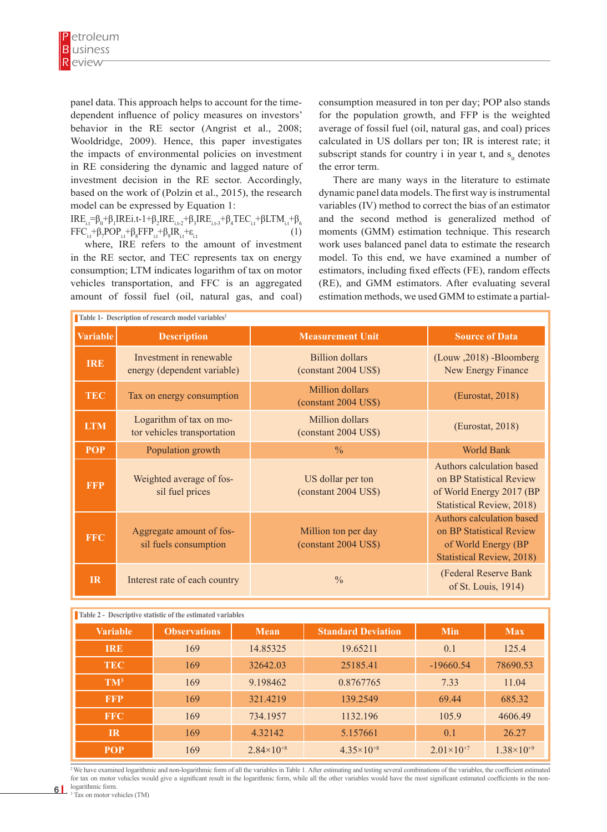panel data. This approach helps to account for the timedependent influence of policy measures on investors' behavior in the RE sector (Angrist et al., 2008; Wooldridge, 2009). Hence, this paper investigates the impacts of environmental policies on investment in RE considering the dynamic and lagged nature of investment decision in the RE sector. Accordingly, based on the work of (Polzin et al., 2015), the research model can be expressed by Equation 1:

IRE<sub>i.t</sub>=β<sub>0</sub>+β<sub>1</sub>IREi.t-1+β<sub>2</sub>IRE<sub>i.t-2</sub>+β<sub>3</sub>IRE<sub>i.t-3</sub>+β<sub>4</sub>TEC<sub>i.t</sub>+βLTM<sub>i.t</sub>+β<sub>6</sub>  $FFC_{i,t} + \beta_7 POP_{i,t} + \beta_8 FFP_{i,t} + \beta_9 IR_{i,t} + \varepsilon_{i,t}$  (1)

where, IRE refers to the amount of investment in the RE sector, and TEC represents tax on energy consumption; LTM indicates logarithm of tax on motor vehicles transportation, and FFC is an aggregated amount of fossil fuel (oil, natural gas, and coal) consumption measured in ton per day; POP also stands for the population growth, and FFP is the weighted average of fossil fuel (oil, natural gas, and coal) prices calculated in US dollars per ton; IR is interest rate; it subscript stands for country i in year t, and  $s_{i}$  denotes the error term.

There are many ways in the literature to estimate dynamic panel data models. The first way is instrumental variables (IV) method to correct the bias of an estimator and the second method is generalized method of moments (GMM) estimation technique. This research work uses balanced panel data to estimate the research model. To this end, we have examined a number of estimators, including fixed effects (FE), random effects (RE), and GMM estimators. After evaluating several estimation methods, we used GMM to estimate a partial-

| Table 1- Description of research model variables <sup>2</sup> |                                                        |                                                |                                                                                                                       |  |  |  |
|---------------------------------------------------------------|--------------------------------------------------------|------------------------------------------------|-----------------------------------------------------------------------------------------------------------------------|--|--|--|
| <b>Variable</b>                                               | <b>Description</b>                                     | <b>Measurement Unit</b>                        | <b>Source of Data</b>                                                                                                 |  |  |  |
| <b>IRE</b>                                                    | Investment in renewable<br>energy (dependent variable) | <b>Billion</b> dollars<br>(constant 2004 US\$) | (Louw, 2018) -Bloomberg<br>New Energy Finance                                                                         |  |  |  |
| <b>TEC</b>                                                    | Tax on energy consumption                              | Million dollars<br>(constant 2004 US\$)        | (Eurostat, 2018)                                                                                                      |  |  |  |
| <b>LTM</b>                                                    | Logarithm of tax on mo-<br>tor vehicles transportation | Million dollars<br>(constant 2004 US\$)        | (Eurostat, 2018)                                                                                                      |  |  |  |
| <b>POP</b>                                                    | Population growth                                      | $\frac{0}{0}$                                  | <b>World Bank</b>                                                                                                     |  |  |  |
| <b>FFP</b>                                                    | Weighted average of fos-<br>sil fuel prices            | US dollar per ton<br>(constant 2004 US\$)      | Authors calculation based<br>on BP Statistical Review<br>of World Energy 2017 (BP<br><b>Statistical Review, 2018)</b> |  |  |  |
| <b>FFC</b>                                                    | Aggregate amount of fos-<br>sil fuels consumption      | Million ton per day<br>(constant 2004 US\$)    | Authors calculation based<br>on BP Statistical Review<br>of World Energy (BP<br><b>Statistical Review, 2018)</b>      |  |  |  |
| IR                                                            | Interest rate of each country                          | $\frac{0}{0}$                                  | (Federal Reserve Bank<br>of St. Louis, 1914)                                                                          |  |  |  |

|  | <b>Table 2 - Descriptive statistic of the estimated variables</b> |  |  |  |  |
|--|-------------------------------------------------------------------|--|--|--|--|
|--|-------------------------------------------------------------------|--|--|--|--|

| <b>Variable</b> | <b>Observations</b> | <b>Mean</b>         | <b>Standard Deviation</b> | <b>Min</b>            | <b>Max</b>          |
|-----------------|---------------------|---------------------|---------------------------|-----------------------|---------------------|
| <b>IRE</b>      | 169                 | 14.85325            | 19.65211                  | 0.1                   | 125.4               |
| <b>TEC</b>      | 169                 | 32642.03            | 25185.41                  | $-19660.54$           | 78690.53            |
| $TM^3$          | 169                 | 9.198462            | 0.8767765                 | 7.33                  | 11.04               |
| <b>FFP</b>      | 169                 | 321.4219            | 139.2549                  | 69.44                 | 685.32              |
| <b>FFC</b>      | 169                 | 734.1957            | 1132.196                  | 105.9                 | 4606.49             |
| IR              | 169                 | 4.32142             | 5.157661                  | 0.1                   | 26.27               |
| <b>POP</b>      | 169                 | $2.84\times10^{+8}$ | $4.35\times10^{+8}$       | $2.01 \times 10^{+7}$ | $1.38\times10^{+9}$ |

<sup>2</sup>We have examined logarithmic and non-logarithmic form of all the variables in Table 1. After estimating and testing several combinations of the variables, the coefficient estimated for tax on motor vehicles would give a significant result in the logarithmic form, while all the other variables would have the most significant estimated coefficients in the non-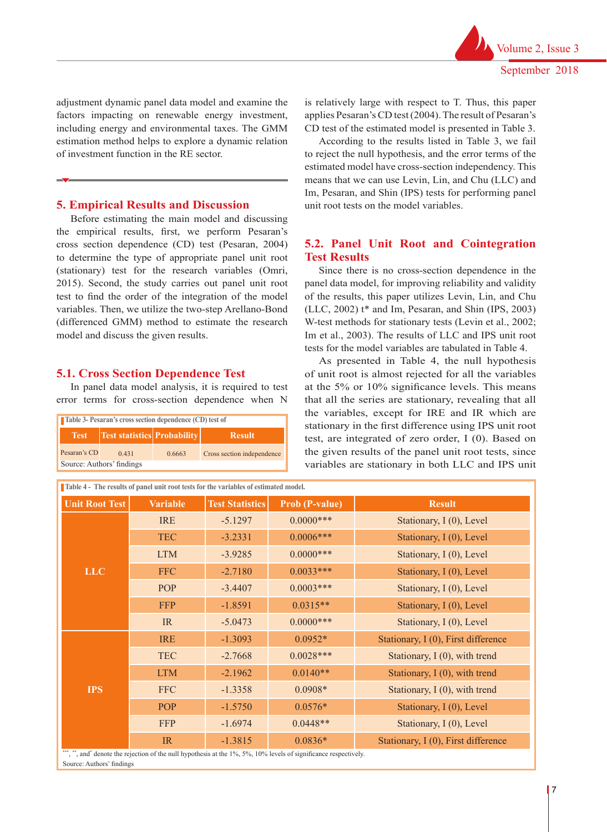adjustment dynamic panel data model and examine the factors impacting on renewable energy investment, including energy and environmental taxes. The GMM estimation method helps to explore a dynamic relation of investment function in the RE sector.

## **5. Empirical Results and Discussion**

Before estimating the main model and discussing the empirical results, first, we perform Pesaran's cross section dependence (CD) test (Pesaran, 2004) to determine the type of appropriate panel unit root (stationary) test for the research variables (Omri, 2015). Second, the study carries out panel unit root test to find the order of the integration of the model variables. Then, we utilize the two-step Arellano-Bond (differenced GMM) method to estimate the research model and discuss the given results.

## **5.1. Cross Section Dependence Test**

In panel data model analysis, it is required to test error terms for cross-section dependence when N

| Table 3- Pesaran's cross section dependence (CD) test of |                                                                |  |  |  |  |  |
|----------------------------------------------------------|----------------------------------------------------------------|--|--|--|--|--|
|                                                          | <b>Test</b>   Test statistics   Probability  <br><b>Result</b> |  |  |  |  |  |
| Pesaran's CD                                             | Cross section independence<br>0.431<br>0.6663                  |  |  |  |  |  |
| Source: Authors' findings                                |                                                                |  |  |  |  |  |

is relatively large with respect to T. Thus, this paper applies Pesaran's CD test (2004). The result of Pesaran's CD test of the estimated model is presented in Table 3.

According to the results listed in Table 3, we fail to reject the null hypothesis, and the error terms of the estimated model have cross-section independency. This means that we can use Levin, Lin, and Chu (LLC) and Im, Pesaran, and Shin (IPS) tests for performing panel unit root tests on the model variables.

# **5.2. Panel Unit Root and Cointegration Test Results**

Since there is no cross-section dependence in the panel data model, for improving reliability and validity of the results, this paper utilizes Levin, Lin, and Chu (LLC, 2002) t\* and Im, Pesaran, and Shin (IPS, 2003) W-test methods for stationary tests (Levin et al., 2002; Im et al., 2003). The results of LLC and IPS unit root tests for the model variables are tabulated in Table 4.

As presented in Table 4, the null hypothesis of unit root is almost rejected for all the variables at the 5% or 10% significance levels. This means that all the series are stationary, revealing that all the variables, except for IRE and IR which are stationary in the first difference using IPS unit root test, are integrated of zero order, I (0). Based on the given results of the panel unit root tests, since variables are stationary in both LLC and IPS unit

| Table 4 - The results of panel unit root tests for the variables of estimated model. |                 |                        |                       |                                       |  |
|--------------------------------------------------------------------------------------|-----------------|------------------------|-----------------------|---------------------------------------|--|
| <b>Unit Root Test</b>                                                                | <b>Variable</b> | <b>Test Statistics</b> | <b>Prob (P-value)</b> | <b>Result</b>                         |  |
|                                                                                      | <b>IRE</b>      | $-5.1297$              | $0.0000$ ***          | Stationary, I (0), Level              |  |
|                                                                                      | <b>TEC</b>      | $-3.2331$              | $0.0006***$           | Stationary, I (0), Level              |  |
|                                                                                      | <b>LTM</b>      | $-3.9285$              | $0.0000***$           | Stationary, I (0), Level              |  |
| <b>LLC</b>                                                                           | <b>FFC</b>      | $-2.7180$              | $0.0033***$           | Stationary, I (0), Level              |  |
|                                                                                      | POP             | $-3.4407$              | $0.0003***$           | Stationary, I (0), Level              |  |
|                                                                                      | <b>FFP</b>      | $-1.8591$              | $0.0315**$            | Stationary, I (0), Level              |  |
|                                                                                      | IR              | $-5.0473$              | $0.0000$ ***          | Stationary, I (0), Level              |  |
|                                                                                      | <b>IRE</b>      | $-1.3093$              | $0.0952*$             | Stationary, $I(0)$ , First difference |  |
|                                                                                      | <b>TEC</b>      | $-2.7668$              | $0.0028***$           | Stationary, I (0), with trend         |  |
|                                                                                      | <b>LTM</b>      | $-2.1962$              | $0.0140**$            | Stationary, $I(0)$ , with trend       |  |
| <b>IPS</b>                                                                           | <b>FFC</b>      | $-1.3358$              | $0.0908*$             | Stationary, I (0), with trend         |  |
|                                                                                      | <b>POP</b>      | $-1.5750$              | $0.0576*$             | Stationary, I (0), Level              |  |
|                                                                                      | <b>FFP</b>      | $-1.6974$              | $0.0448**$            | Stationary, I (0), Level              |  |
| *** **                                                                               | IR              | $-1.3815$              | $0.0836*$             | Stationary, I (0), First difference   |  |

\*\*\*, \*\*, and\* denote the rejection of the null hypothesis at the 1%, 5%, 10% levels of significance respectively. Source: Authors' findings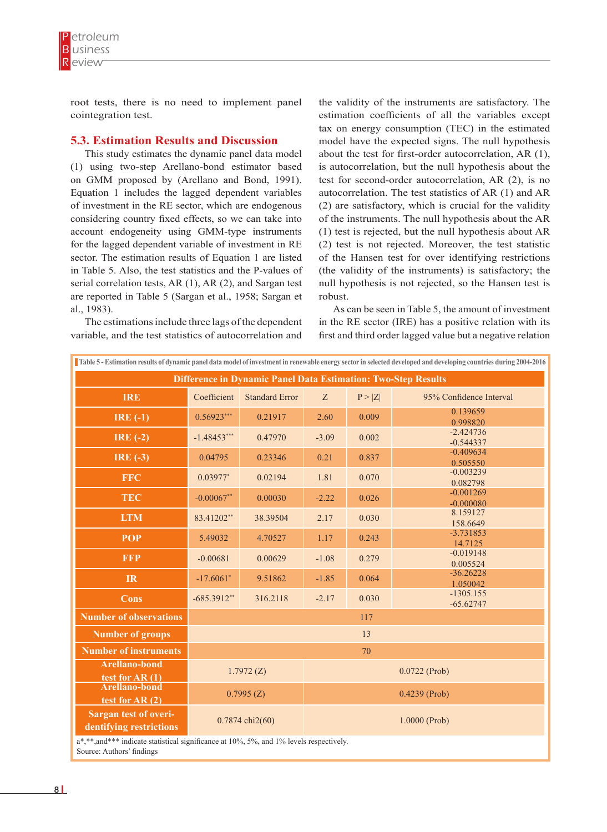

root tests, there is no need to implement panel cointegration test.

#### **5.3. Estimation Results and Discussion**

This study estimates the dynamic panel data model (1) using two-step Arellano-bond estimator based on GMM proposed by (Arellano and Bond, 1991). Equation 1 includes the lagged dependent variables of investment in the RE sector, which are endogenous considering country fixed effects, so we can take into account endogeneity using GMM-type instruments for the lagged dependent variable of investment in RE sector. The estimation results of Equation 1 are listed in Table 5. Also, the test statistics and the P-values of serial correlation tests, AR (1), AR (2), and Sargan test are reported in Table 5 (Sargan et al., 1958; Sargan et al., 1983).

The estimations include three lags of the dependent variable, and the test statistics of autocorrelation and

the validity of the instruments are satisfactory. The estimation coefficients of all the variables except tax on energy consumption (TEC) in the estimated model have the expected signs. The null hypothesis about the test for first-order autocorrelation, AR (1), is autocorrelation, but the null hypothesis about the test for second-order autocorrelation, AR (2), is no autocorrelation. The test statistics of AR (1) and AR (2) are satisfactory, which is crucial for the validity of the instruments. The null hypothesis about the AR (1) test is rejected, but the null hypothesis about AR (2) test is not rejected. Moreover, the test statistic of the Hansen test for over identifying restrictions (the validity of the instruments) is satisfactory; the null hypothesis is not rejected, so the Hansen test is robust.

As can be seen in Table 5, the amount of investment in the RE sector (IRE) has a positive relation with its first and third order lagged value but a negative relation

| Table 5 - Estimation results of dynamic panel data model of investment in renewable energy sector in selected developed and developing countries during 2004-2016 |                           |                       |                 |        |                            |  |
|-------------------------------------------------------------------------------------------------------------------------------------------------------------------|---------------------------|-----------------------|-----------------|--------|----------------------------|--|
| <b>Difference in Dynamic Panel Data Estimation: Two-Step Results</b>                                                                                              |                           |                       |                 |        |                            |  |
| <b>IRE</b>                                                                                                                                                        | Coefficient               | <b>Standard Error</b> | Z               | P >  Z | 95% Confidence Interval    |  |
| IRE $(-1)$                                                                                                                                                        | $0.56923***$              | 0.21917               | 2.60            | 0.009  | 0.139659<br>0.998820       |  |
| IRE $(-2)$                                                                                                                                                        | $-1.48453***$             | 0.47970               | $-3.09$         | 0.002  | $-2.424736$<br>$-0.544337$ |  |
| IRE $(-3)$                                                                                                                                                        | 0.04795                   | 0.23346               | 0.21            | 0.837  | $-0.409634$<br>0.505550    |  |
| <b>FFC</b>                                                                                                                                                        | $0.03977*$                | 0.02194               | 1.81            | 0.070  | $-0.003239$<br>0.082798    |  |
| <b>TEC</b>                                                                                                                                                        | $-0.00067**$              | 0.00030               | $-2.22$         | 0.026  | $-0.001269$<br>$-0.000080$ |  |
| <b>LTM</b>                                                                                                                                                        | 83.41202**                | 38.39504              | 2.17            | 0.030  | 8.159127<br>158,6649       |  |
| <b>POP</b>                                                                                                                                                        | 5.49032                   | 4.70527               | 1.17            | 0.243  | $-3.731853$<br>14.7125     |  |
| <b>FFP</b>                                                                                                                                                        | $-0.00681$                |                       | $-1.08$         | 0.279  | $-0.019148$<br>0.005524    |  |
| <b>IR</b>                                                                                                                                                         | $-17.6061*$<br>9.51862    |                       | $-1.85$         | 0.064  | $-36.26228$<br>1.050042    |  |
| Cons                                                                                                                                                              | $-685.3912**$<br>316.2118 |                       | $-2.17$         | 0.030  | $-1305.155$<br>$-65.62747$ |  |
| <b>Number of observations</b>                                                                                                                                     | 117                       |                       |                 |        |                            |  |
| <b>Number of groups</b>                                                                                                                                           | 13                        |                       |                 |        |                            |  |
| <b>Number of instruments</b>                                                                                                                                      |                           |                       | 70              |        |                            |  |
| <b>Arellano-bond</b><br>test for AR $(1)$                                                                                                                         | 1.7972(Z)                 |                       | $0.0722$ (Prob) |        |                            |  |
| <b>Arellano-bond</b><br>test for $AR(2)$                                                                                                                          | 0.7995(Z)                 |                       | $0.4239$ (Prob) |        |                            |  |
| <b>Sargan test of overi-</b><br>0.7874 chi2(60)<br>dentifying restrictions                                                                                        |                           |                       | 1.0000 (Prob)   |        |                            |  |
| a*,**,and*** indicate statistical significance at 10%, 5%, and 1% levels respectively.<br>Course Authors' furtives                                                |                           |                       |                 |        |                            |  |

Source: Authors' findings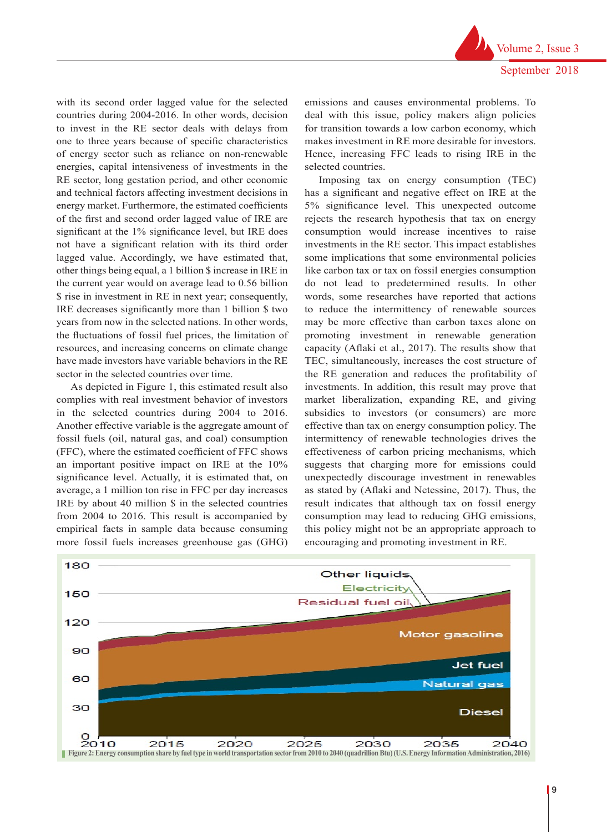with its second order lagged value for the selected countries during 2004-2016. In other words, decision to invest in the RE sector deals with delays from one to three years because of specific characteristics of energy sector such as reliance on non-renewable energies, capital intensiveness of investments in the RE sector, long gestation period, and other economic and technical factors affecting investment decisions in energy market. Furthermore, the estimated coefficients of the first and second order lagged value of IRE are significant at the 1% significance level, but IRE does not have a significant relation with its third order lagged value. Accordingly, we have estimated that, other things being equal, a 1 billion \$ increase in IRE in the current year would on average lead to 0.56 billion \$ rise in investment in RE in next year; consequently, IRE decreases significantly more than 1 billion \$ two years from now in the selected nations. In other words, the fluctuations of fossil fuel prices, the limitation of resources, and increasing concerns on climate change have made investors have variable behaviors in the RE sector in the selected countries over time.

As depicted in Figure 1, this estimated result also complies with real investment behavior of investors in the selected countries during 2004 to 2016. Another effective variable is the aggregate amount of fossil fuels (oil, natural gas, and coal) consumption intermittency of renewable technologies drives the (FFC), where the estimated coefficient of FFC shows an important positive impact on IRE at the 10% significance level. Actually, it is estimated that, on average, a 1 million ton rise in FFC per day increases IRE by about 40 million \$ in the selected countries from 2004 to 2016. This result is accompanied by empirical facts in sample data because consuming more fossil fuels increases greenhouse gas (GHG)

emissions and causes environmental problems. To deal with this issue, policy makers align policies for transition towards a low carbon economy, which makes investment in RE more desirable for investors. Hence, increasing FFC leads to rising IRE in the selected countries.

Imposing tax on energy consumption (TEC) has a significant and negative effect on IRE at the 5% significance level. This unexpected outcome rejects the research hypothesis that tax on energy consumption would increase incentives to raise investments in the RE sector. This impact establishes some implications that some environmental policies like carbon tax or tax on fossil energies consumption do not lead to predetermined results. In other words, some researches have reported that actions to reduce the intermittency of renewable sources may be more effective than carbon taxes alone on promoting investment in renewable generation capacity (Aflaki et al., 2017). The results show that TEC, simultaneously, increases the cost structure of the RE generation and reduces the profitability of investments. In addition, this result may prove that market liberalization, expanding RE, and giving e selected countries during 2004 to 2016. subsidies to investors (or consumers) are more another effective variable is the aggregate amount of effective than tax on energy consumption policy. The intermittency of renewable technologies drives the FFC), where the estimated coefficient of FFC shows effectiveness of carbon pricing mechanisms, which n important positive impact on IRE at the 10% suggests that charging more for emissions could unexpectedly discourage investment in renewables experimented by (Aflaki and Netessine, 2017). Thus, the verage, a 1 million ton rise in FFC per day increases as stated by (Aflaki and Netessine, 2017). Thus, the RE by about 40 million  $\hat{s}$  in the selected countries result indicates that although tax on fossil energy rom 2004 to 2016. This result is accompanied by consumption may lead to reducing GHG emissions, mpirical facts in sample data because consuming this policy might not be an appropriate approach to encouraging and promoting investment in RE.

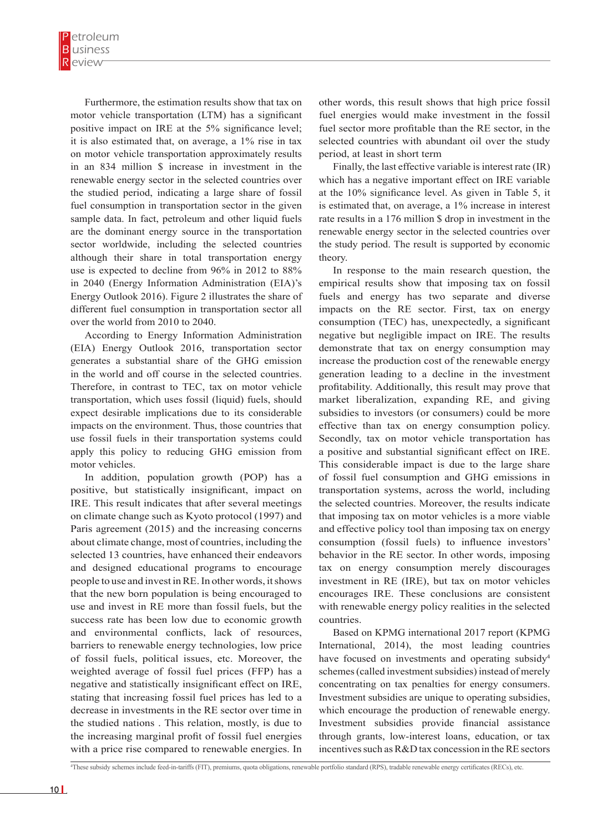Furthermore, the estimation results show that tax on motor vehicle transportation (LTM) has a significant positive impact on IRE at the 5% significance level; it is also estimated that, on average, a 1% rise in tax on motor vehicle transportation approximately results in an 834 million \$ increase in investment in the renewable energy sector in the selected countries over the studied period, indicating a large share of fossil fuel consumption in transportation sector in the given sample data. In fact, petroleum and other liquid fuels are the dominant energy source in the transportation sector worldwide, including the selected countries although their share in total transportation energy use is expected to decline from 96% in 2012 to 88% in 2040 (Energy Information Administration (EIA)'s Energy Outlook 2016). Figure 2 illustrates the share of different fuel consumption in transportation sector all over the world from 2010 to 2040.

According to Energy Information Administration (EIA) Energy Outlook 2016, transportation sector generates a substantial share of the GHG emission in the world and off course in the selected countries. Therefore, in contrast to TEC, tax on motor vehicle transportation, which uses fossil (liquid) fuels, should expect desirable implications due to its considerable impacts on the environment. Thus, those countries that use fossil fuels in their transportation systems could apply this policy to reducing GHG emission from motor vehicles.

In addition, population growth (POP) has a positive, but statistically insignificant, impact on IRE. This result indicates that after several meetings on climate change such as Kyoto protocol (1997) and Paris agreement (2015) and the increasing concerns about climate change, most of countries, including the selected 13 countries, have enhanced their endeavors and designed educational programs to encourage people to use and invest in RE. In other words, it shows that the new born population is being encouraged to use and invest in RE more than fossil fuels, but the success rate has been low due to economic growth and environmental conflicts, lack of resources, barriers to renewable energy technologies, low price of fossil fuels, political issues, etc. Moreover, the weighted average of fossil fuel prices (FFP) has a negative and statistically insignificant effect on IRE, stating that increasing fossil fuel prices has led to a decrease in investments in the RE sector over time in the studied nations . This relation, mostly, is due to the increasing marginal profit of fossil fuel energies with a price rise compared to renewable energies. In

other words, this result shows that high price fossil fuel energies would make investment in the fossil fuel sector more profitable than the RE sector, in the selected countries with abundant oil over the study period, at least in short term

Finally, the last effective variable is interest rate (IR) which has a negative important effect on IRE variable at the 10% significance level. As given in Table 5, it is estimated that, on average, a 1% increase in interest rate results in a 176 million \$ drop in investment in the renewable energy sector in the selected countries over the study period. The result is supported by economic theory.

In response to the main research question, the empirical results show that imposing tax on fossil fuels and energy has two separate and diverse impacts on the RE sector. First, tax on energy consumption (TEC) has, unexpectedly, a significant negative but negligible impact on IRE. The results demonstrate that tax on energy consumption may increase the production cost of the renewable energy generation leading to a decline in the investment profitability. Additionally, this result may prove that market liberalization, expanding RE, and giving subsidies to investors (or consumers) could be more effective than tax on energy consumption policy. Secondly, tax on motor vehicle transportation has a positive and substantial significant effect on IRE. This considerable impact is due to the large share of fossil fuel consumption and GHG emissions in transportation systems, across the world, including the selected countries. Moreover, the results indicate that imposing tax on motor vehicles is a more viable and effective policy tool than imposing tax on energy consumption (fossil fuels) to influence investors' behavior in the RE sector. In other words, imposing tax on energy consumption merely discourages investment in RE (IRE), but tax on motor vehicles encourages IRE. These conclusions are consistent with renewable energy policy realities in the selected countries.

Based on KPMG international 2017 report (KPMG International, 2014), the most leading countries have focused on investments and operating subsidy<sup>4</sup> schemes (called investment subsidies) instead of merely concentrating on tax penalties for energy consumers. Investment subsidies are unique to operating subsidies, which encourage the production of renewable energy. Investment subsidies provide financial assistance through grants, low-interest loans, education, or tax incentives such as R&D tax concession in the RE sectors

<sup>4</sup> These subsidy schemes include feed-in-tariffs (FIT), premiums, quota obligations, renewable portfolio standard (RPS), tradable renewable energy certificates (RECs), etc.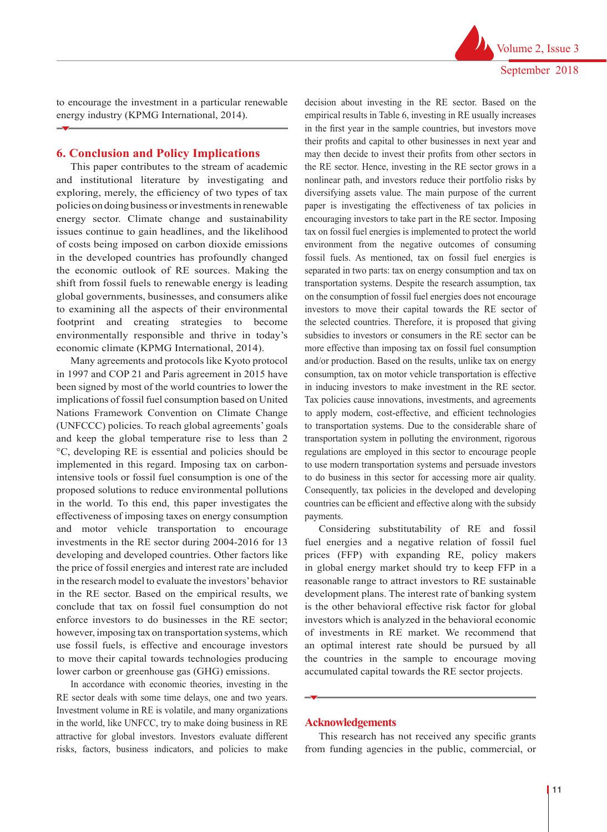to encourage the investment in a particular renewable energy industry (KPMG International, 2014).

## **6. Conclusion and Policy Implications**

This paper contributes to the stream of academic and institutional literature by investigating and exploring, merely, the efficiency of two types of tax policies on doing business or investments in renewable energy sector. Climate change and sustainability issues continue to gain headlines, and the likelihood of costs being imposed on carbon dioxide emissions in the developed countries has profoundly changed the economic outlook of RE sources. Making the shift from fossil fuels to renewable energy is leading global governments, businesses, and consumers alike to examining all the aspects of their environmental footprint and creating strategies to become environmentally responsible and thrive in today's economic climate (KPMG International, 2014).

Many agreements and protocols like Kyoto protocol in 1997 and COP 21 and Paris agreement in 2015 have been signed by most of the world countries to lower the implications of fossil fuel consumption based on United Nations Framework Convention on Climate Change (UNFCCC) policies. To reach global agreements' goals and keep the global temperature rise to less than 2 °C, developing RE is essential and policies should be implemented in this regard. Imposing tax on carbonintensive tools or fossil fuel consumption is one of the proposed solutions to reduce environmental pollutions in the world. To this end, this paper investigates the effectiveness of imposing taxes on energy consumption and motor vehicle transportation to encourage investments in the RE sector during 2004-2016 for 13 developing and developed countries. Other factors like the price of fossil energies and interest rate are included in the research model to evaluate the investors' behavior in the RE sector. Based on the empirical results, we conclude that tax on fossil fuel consumption do not enforce investors to do businesses in the RE sector; however, imposing tax on transportation systems, which use fossil fuels, is effective and encourage investors to move their capital towards technologies producing lower carbon or greenhouse gas (GHG) emissions.

In accordance with economic theories, investing in the RE sector deals with some time delays, one and two years. Investment volume in RE is volatile, and many organizations in the world, like UNFCC, try to make doing business in RE attractive for global investors. Investors evaluate different risks, factors, business indicators, and policies to make

decision about investing in the RE sector. Based on the empirical results in Table 6, investing in RE usually increases in the first year in the sample countries, but investors move their profits and capital to other businesses in next year and may then decide to invest their profits from other sectors in the RE sector. Hence, investing in the RE sector grows in a nonlinear path, and investors reduce their portfolio risks by diversifying assets value. The main purpose of the current paper is investigating the effectiveness of tax policies in encouraging investors to take part in the RE sector. Imposing tax on fossil fuel energies is implemented to protect the world environment from the negative outcomes of consuming fossil fuels. As mentioned, tax on fossil fuel energies is separated in two parts: tax on energy consumption and tax on transportation systems. Despite the research assumption, tax on the consumption of fossil fuel energies does not encourage investors to move their capital towards the RE sector of the selected countries. Therefore, it is proposed that giving subsidies to investors or consumers in the RE sector can be more effective than imposing tax on fossil fuel consumption and/or production. Based on the results, unlike tax on energy consumption, tax on motor vehicle transportation is effective in inducing investors to make investment in the RE sector. Tax policies cause innovations, investments, and agreements to apply modern, cost-effective, and efficient technologies to transportation systems. Due to the considerable share of transportation system in polluting the environment, rigorous regulations are employed in this sector to encourage people to use modern transportation systems and persuade investors to do business in this sector for accessing more air quality. Consequently, tax policies in the developed and developing countries can be efficient and effective along with the subsidy payments.

Considering substitutability of RE and fossil fuel energies and a negative relation of fossil fuel prices (FFP) with expanding RE, policy makers in global energy market should try to keep FFP in a reasonable range to attract investors to RE sustainable development plans. The interest rate of banking system is the other behavioral effective risk factor for global investors which is analyzed in the behavioral economic of investments in RE market. We recommend that an optimal interest rate should be pursued by all the countries in the sample to encourage moving accumulated capital towards the RE sector projects.

#### **Acknowledgements**

This research has not received any specific grants from funding agencies in the public, commercial, or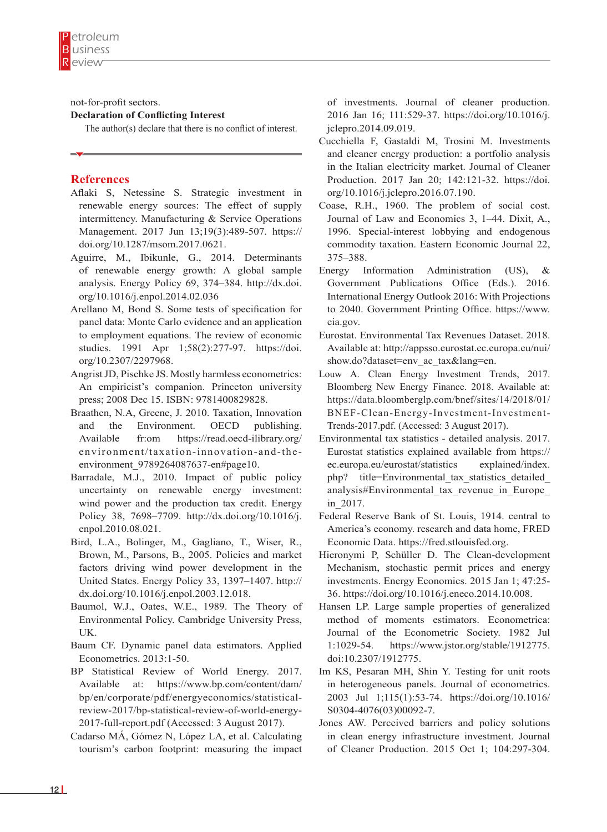not-for-profit sectors.

#### **Declaration of Conflicting Interest**

The author(s) declare that there is no conflict of interest.

## **References**

- Aflaki S, Netessine S. Strategic investment in renewable energy sources: The effect of supply intermittency. Manufacturing & Service Operations Management. 2017 Jun 13;19(3):489-507. https:// doi.org/10.1287/msom.2017.0621.
- Aguirre, M., Ibikunle, G., 2014. Determinants of renewable energy growth: A global sample analysis. Energy Policy 69, 374–384. http://dx.doi. org/10.1016/j.enpol.2014.02.036
- Arellano M, Bond S. Some tests of specification for panel data: Monte Carlo evidence and an application to employment equations. The review of economic studies. 1991 Apr 1;58(2):277-97. https://doi. org/10.2307/2297968.
- Angrist JD, Pischke JS. Mostly harmless econometrics: An empiricist's companion. Princeton university press; 2008 Dec 15. ISBN: 9781400829828.
- Braathen, N.A, Greene, J. 2010. Taxation, Innovation and the Environment. OECD publishing. Available fr:om https://read.oecd-ilibrary.org/ environment/taxation-innovation-and-theenvironment 9789264087637-en#page10.
- Barradale, M.J., 2010. Impact of public policy uncertainty on renewable energy investment: wind power and the production tax credit. Energy Policy 38, 7698–7709. http://dx.doi.org/10.1016/j. enpol.2010.08.021.
- Bird, L.A., Bolinger, M., Gagliano, T., Wiser, R., Brown, M., Parsons, B., 2005. Policies and market factors driving wind power development in the United States. Energy Policy 33, 1397–1407. http:// dx.doi.org/10.1016/j.enpol.2003.12.018.
- Baumol, W.J., Oates, W.E., 1989. The Theory of Environmental Policy. Cambridge University Press, UK.
- Baum CF. Dynamic panel data estimators. Applied Econometrics. 2013:1-50.
- BP Statistical Review of World Energy. 2017. Available at: https://www.bp.com/content/dam/ bp/en/corporate/pdf/energyeconomics/statisticalreview-2017/bp-statistical-review-of-world-energy-2017-full-report.pdf (Accessed: 3 August 2017).
- Cadarso MÁ, Gómez N, López LA, et al. Calculating tourism's carbon footprint: measuring the impact

of investments. Journal of cleaner production. 2016 Jan 16; 111:529-37. https://doi.org/10.1016/j. jclepro.2014.09.019.

- Cucchiella F, Gastaldi M, Trosini M. Investments and cleaner energy production: a portfolio analysis in the Italian electricity market. Journal of Cleaner Production. 2017 Jan 20; 142:121-32. https://doi. org/10.1016/j.jclepro.2016.07.190.
- Coase, R.H., 1960. The problem of social cost. Journal of Law and Economics 3, 1–44. Dixit, A., 1996. Special-interest lobbying and endogenous commodity taxation. Eastern Economic Journal 22, 375–388.
- Energy Information Administration (US), & Government Publications Office (Eds.). 2016. International Energy Outlook 2016: With Projections to 2040. Government Printing Office. https://www. eia.gov.
- Eurostat. Environmental Tax Revenues Dataset. 2018. Available at: http://appsso.eurostat.ec.europa.eu/nui/ show.do?dataset=env\_ac\_tax&lang=en.
- Louw A. Clean Energy Investment Trends, 2017. Bloomberg New Energy Finance. 2018. Available at: https://data.bloomberglp.com/bnef/sites/14/2018/01/ BNEF-Clean-Energy-Investment-Investment-Trends-2017.pdf. (Accessed: 3 August 2017).
- Environmental tax statistics detailed analysis. 2017. Eurostat statistics explained available from https:// ec.europa.eu/eurostat/statistics explained/index. php? title=Environmental tax statistics detailed analysis#Environmental\_tax\_revenue\_in\_Europe\_ in\_2017.
- Federal Reserve Bank of St. Louis, 1914. central to America's economy. research and data home, FRED Economic Data. https://fred.stlouisfed.org.
- Hieronymi P, Schüller D. The Clean-development Mechanism, stochastic permit prices and energy investments. Energy Economics. 2015 Jan 1; 47:25- 36. https://doi.org/10.1016/j.eneco.2014.10.008.
- Hansen LP. Large sample properties of generalized method of moments estimators. Econometrica: Journal of the Econometric Society. 1982 Jul 1:1029-54. https://www.jstor.org/stable/1912775. doi:10.2307/1912775.
- Im KS, Pesaran MH, Shin Y. Testing for unit roots in heterogeneous panels. Journal of econometrics. 2003 Jul 1;115(1):53-74. https://doi.org/10.1016/ S0304-4076(03)00092-7.
- Jones AW. Perceived barriers and policy solutions in clean energy infrastructure investment. Journal of Cleaner Production. 2015 Oct 1; 104:297-304.